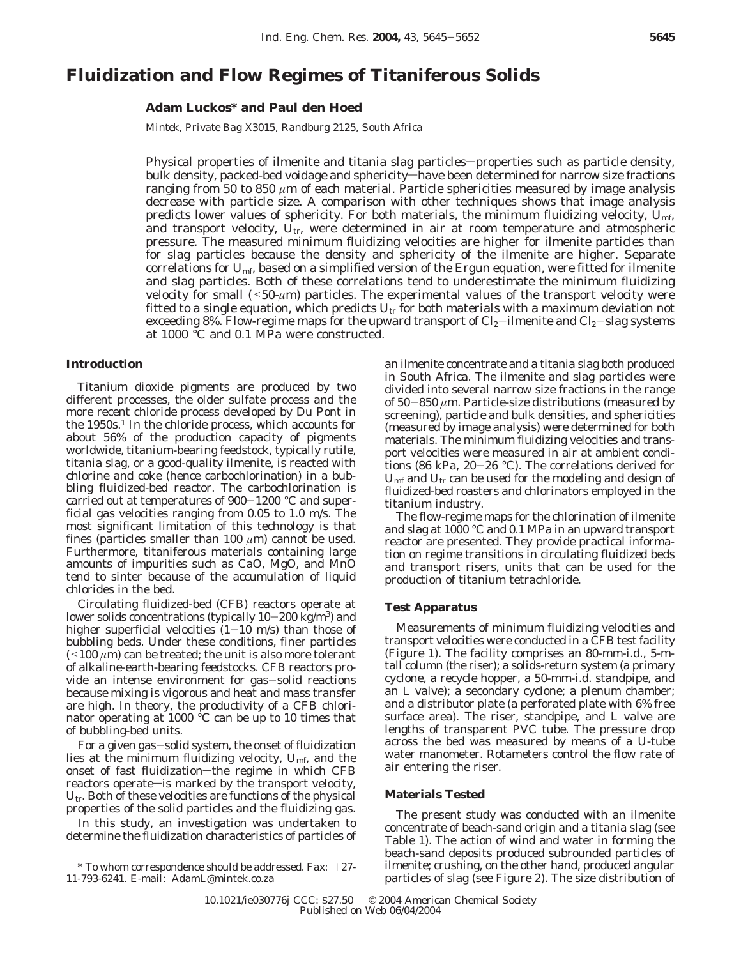# **Fluidization and Flow Regimes of Titaniferous Solids**

# **Adam Luckos\* and Paul den Hoed**

*Mintek, Private Bag X3015, Randburg 2125, South Africa*

Physical properties of ilmenite and titania slag particles—properties such as particle density, bulk density, packed-bed voidage and sphericity—have been determined for narrow size fractions ranging from 50 to 850 *µ*m of each material. Particle sphericities measured by image analysis decrease with particle size. A comparison with other techniques shows that image analysis predicts lower values of sphericity. For both materials, the minimum fluidizing velocity, *U*mf, and transport velocity,  $U_{tr}$ , were determined in air at room temperature and atmospheric pressure. The measured minimum fluidizing velocities are higher for ilmenite particles than for slag particles because the density and sphericity of the ilmenite are higher. Separate correlations for *U*mf, based on a simplified version of the Ergun equation, were fitted for ilmenite and slag particles. Both of these correlations tend to underestimate the minimum fluidizing velocity for small  $(50-\mu m)$  particles. The experimental values of the transport velocity were fitted to a single equation, which predicts  $U_{tr}$  for both materials with a maximum deviation not exceeding 8%. Flow-regime maps for the upward transport of  $Cl_2$ -ilmenite and  $Cl_2$ -slag systems at 1000 °C and 0.1 MPa were constructed.

# **Introduction**

Titanium dioxide pigments are produced by two different processes, the older sulfate process and the more recent chloride process developed by Du Pont in the 1950s.<sup>1</sup> In the chloride process, which accounts for about 56% of the production capacity of pigments worldwide, titanium-bearing feedstock, typically rutile, titania slag, or a good-quality ilmenite, is reacted with chlorine and coke (hence carbochlorination) in a bubbling fluidized-bed reactor. The carbochlorination is carried out at temperatures of 900-1200 °C and superficial gas velocities ranging from 0.05 to 1.0 m/s. The most significant limitation of this technology is that fines (particles smaller than 100  $\mu$ m) cannot be used. Furthermore, titaniferous materials containing large amounts of impurities such as CaO, MgO, and MnO tend to sinter because of the accumulation of liquid chlorides in the bed.

Circulating fluidized-bed (CFB) reactors operate at lower solids concentrations (typically  $10-200$  kg/m<sup>3</sup>) and higher superficial velocities  $(1-10 \text{ m/s})$  than those of bubbling beds. Under these conditions, finer particles  $(100 \mu m)$  can be treated; the unit is also more tolerant of alkaline-earth-bearing feedstocks. CFB reactors provide an intense environment for gas-solid reactions because mixing is vigorous and heat and mass transfer are high. In theory, the productivity of a CFB chlorinator operating at 1000 °C can be up to 10 times that of bubbling-bed units.

For a given gas-solid system, the onset of fluidization lies at the minimum fluidizing velocity, *U*mf, and the onset of fast fluidization-the regime in which CFB reactors operate-is marked by the transport velocity, *U*tr. Both of these velocities are functions of the physical properties of the solid particles and the fluidizing gas.

In this study, an investigation was undertaken to determine the fluidization characteristics of particles of

an ilmenite concentrate and a titania slag both produced in South Africa. The ilmenite and slag particles were divided into several narrow size fractions in the range of 50-<sup>850</sup> *<sup>µ</sup>*m. Particle-size distributions (measured by screening), particle and bulk densities, and sphericities (measured by image analysis) were determined for both materials. The minimum fluidizing velocities and transport velocities were measured in air at ambient conditions (86 kPa, 20-26 °C). The correlations derived for *U*mf and *U*tr can be used for the modeling and design of fluidized-bed roasters and chlorinators employed in the titanium industry.

The flow-regime maps for the chlorination of ilmenite and slag at 1000 °C and 0.1 MPa in an upward transport reactor are presented. They provide practical information on regime transitions in circulating fluidized beds and transport risers, units that can be used for the production of titanium tetrachloride.

### **Test Apparatus**

Measurements of minimum fluidizing velocities and transport velocities were conducted in a CFB test facility (Figure 1). The facility comprises an 80-mm-i.d., 5-mtall column (the riser); a solids-return system (a primary cyclone, a recycle hopper, a 50-mm-i.d. standpipe, and an L valve); a secondary cyclone; a plenum chamber; and a distributor plate (a perforated plate with 6% free surface area). The riser, standpipe, and L valve are lengths of transparent PVC tube. The pressure drop across the bed was measured by means of a U-tube water manometer. Rotameters control the flow rate of air entering the riser.

## **Materials Tested**

The present study was conducted with an ilmenite concentrate of beach-sand origin and a titania slag (see Table 1). The action of wind and water in forming the beach-sand deposits produced subrounded particles of ilmenite; crushing, on the other hand, produced angular particles of slag (see Figure 2). The size distribution of

 $*$  To whom correspondence should be addressed. Fax:  $+27$ -11-793-6241. E-mail: AdamL@mintek.co.za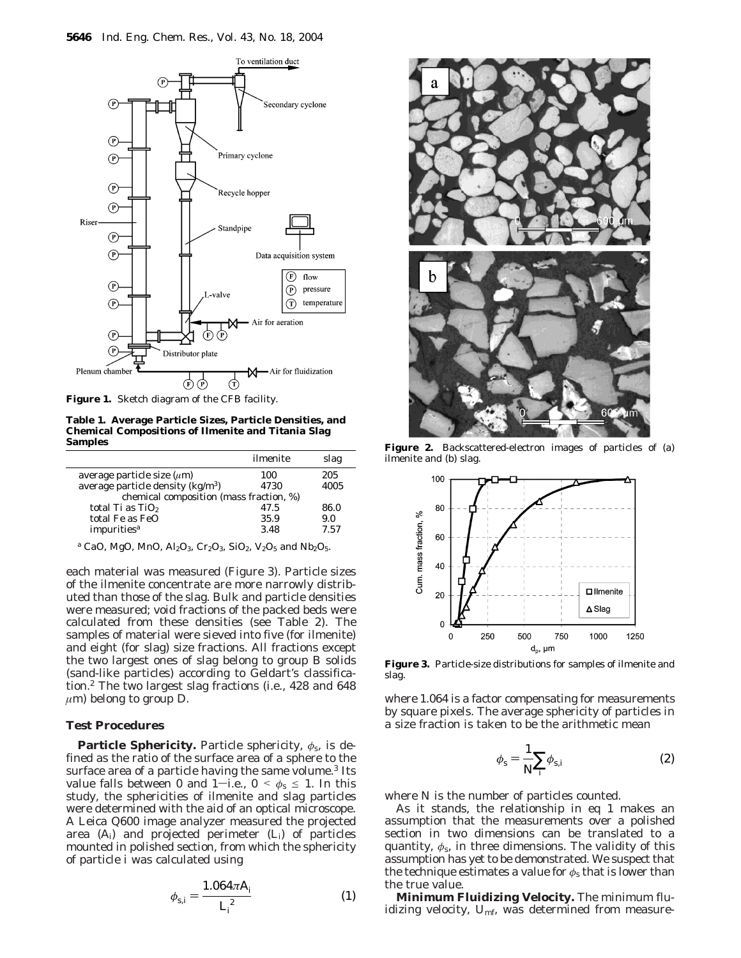

**Figure 1.** Sketch diagram of the CFB facility.

**Table 1. Average Particle Sizes, Particle Densities, and Chemical Compositions of Ilmenite and Titania Slag Samples**

|                                         | ilmenite | slag |  |  |  |
|-----------------------------------------|----------|------|--|--|--|
| average particle size $(\mu m)$         | 100      | 205  |  |  |  |
| average particle density $(kg/m3)$      | 4730     | 4005 |  |  |  |
| chemical composition (mass fraction, %) |          |      |  |  |  |
| total Ti as $TiO2$                      | 47.5     | 86.0 |  |  |  |
| total Fe as FeO                         | 35.9     | 9.0  |  |  |  |
| impurities <sup>a</sup>                 | 3.48     | 7.57 |  |  |  |

<sup>a</sup> CaO, MgO, MnO, Al<sub>2</sub>O<sub>3</sub>, Cr<sub>2</sub>O<sub>3</sub>, SiO<sub>2</sub>, V<sub>2</sub>O<sub>5</sub> and Nb<sub>2</sub>O<sub>5</sub>.

each material was measured (Figure 3). Particle sizes of the ilmenite concentrate are more narrowly distributed than those of the slag. Bulk and particle densities were measured; void fractions of the packed beds were calculated from these densities (see Table 2). The samples of material were sieved into five (for ilmenite) and eight (for slag) size fractions. All fractions except the two largest ones of slag belong to group B solids (sand-like particles) according to Geldart's classification.2 The two largest slag fractions (i.e., 428 and 648  $\mu$ m) belong to group D.

# **Test Procedures**

**Particle Sphericity.** Particle sphericity, *φ*s, is defined as the ratio of the surface area of a sphere to the surface area of a particle having the same volume.<sup>3</sup> Its value falls between 0 and 1-i.e.,  $0 < \phi_s \leq 1$ . In this study, the sphericities of ilmenite and slag particles were determined with the aid of an optical microscope. A Leica Q600 image analyzer measured the projected area (*Ai*) and projected perimeter (*Li*) of particles mounted in polished section, from which the sphericity of particle *i* was calculated using

$$
\phi_{s,i} = \frac{1.064\pi A_i}{L_i^2} \tag{1}
$$



**Figure 2.** Backscattered-electron images of particles of (a) ilmenite and (b) slag.



**Figure 3.** Particle-size distributions for samples of ilmenite and slag.

where 1.064 is a factor compensating for measurements by square pixels. The average sphericity of particles in a size fraction is taken to be the arithmetic mean

$$
\phi_{\rm s} = \frac{1}{N} \sum_{i} \phi_{\rm s, i} \tag{2}
$$

where *N* is the number of particles counted.

As it stands, the relationship in eq 1 makes an assumption that the measurements over a polished section in two dimensions can be translated to a quantity,  $\phi_s$ , in three dimensions. The validity of this assumption has yet to be demonstrated. We suspect that the technique estimates a value for  $\phi_s$  that is lower than the true value.

**Minimum Fluidizing Velocity.** The minimum fluidizing velocity, U<sub>mf</sub>, was determined from measure-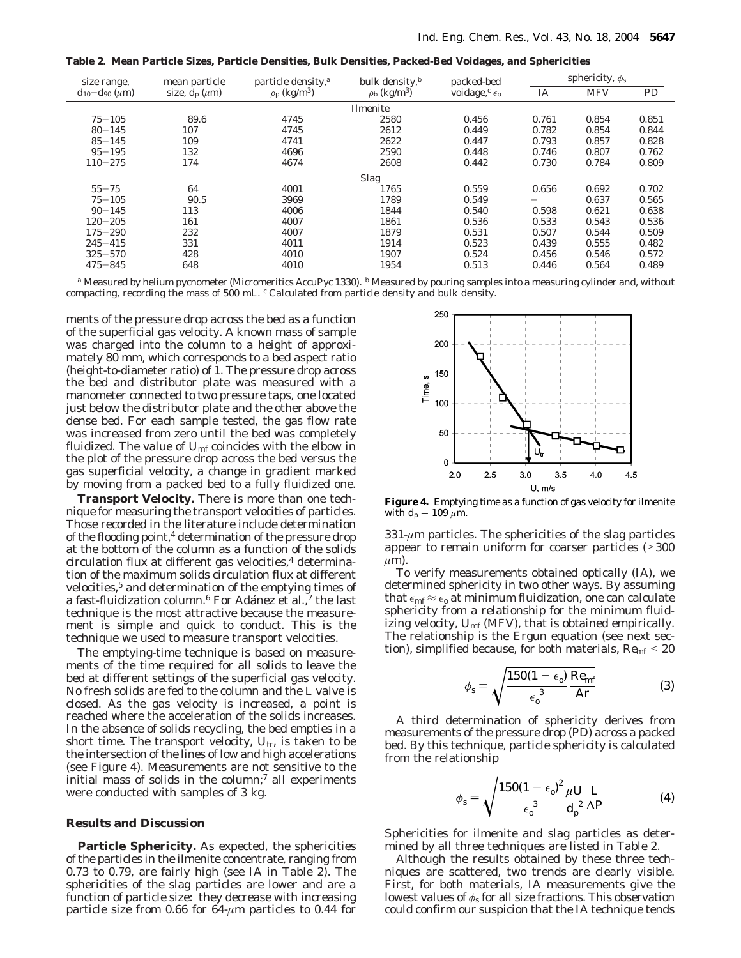**Table 2. Mean Particle Sizes, Particle Densities, Bulk Densities, Packed-Bed Voidages, and Sphericities**

| size range,               | mean particle      | particle density, <sup>a</sup> | bulk density, $\frac{b}{a}$<br>packed-bed |                           | sphericity, $\phi_s$ |            |           |  |
|---------------------------|--------------------|--------------------------------|-------------------------------------------|---------------------------|----------------------|------------|-----------|--|
| $d_{10} - d_{90} (\mu m)$ | size, $d_n(\mu m)$ | $\rho_p$ (kg/m <sup>3</sup> )  | $\rho_{\rm b}$ (kg/m <sup>3</sup> )       | voidage, $c_{\epsilon_0}$ | IA                   | <b>MFV</b> | <b>PD</b> |  |
| Ilmenite                  |                    |                                |                                           |                           |                      |            |           |  |
| $75 - 105$                | 89.6               | 4745                           | 2580                                      | 0.456                     | 0.761                | 0.854      | 0.851     |  |
| $80 - 145$                | 107                | 4745                           | 2612                                      | 0.449                     | 0.782                | 0.854      | 0.844     |  |
| $85 - 145$                | 109                | 4741                           | 2622                                      | 0.447                     | 0.793                | 0.857      | 0.828     |  |
| $95 - 195$                | 132                | 4696                           | 2590                                      | 0.448                     | 0.746                | 0.807      | 0.762     |  |
| $110 - 275$               | 174                | 4674                           | 2608                                      | 0.442                     | 0.730                | 0.784      | 0.809     |  |
| <b>Slag</b>               |                    |                                |                                           |                           |                      |            |           |  |
| $55 - 75$                 | 64                 | 4001                           | 1765                                      | 0.559                     | 0.656                | 0.692      | 0.702     |  |
| $75 - 105$                | 90.5               | 3969                           | 1789                                      | 0.549                     | -                    | 0.637      | 0.565     |  |
| $90 - 145$                | 113                | 4006                           | 1844                                      | 0.540                     | 0.598                | 0.621      | 0.638     |  |
| $120 - 205$               | 161                | 4007                           | 1861                                      | 0.536                     | 0.533                | 0.543      | 0.536     |  |
| $175 - 290$               | 232                | 4007                           | 1879                                      | 0.531                     | 0.507                | 0.544      | 0.509     |  |
| $245 - 415$               | 331                | 4011                           | 1914                                      | 0.523                     | 0.439                | 0.555      | 0.482     |  |
| $325 - 570$               | 428                | 4010                           | 1907                                      | 0.524                     | 0.456                | 0.546      | 0.572     |  |
| $475 - 845$               | 648                | 4010                           | 1954                                      | 0.513                     | 0.446                | 0.564      | 0.489     |  |

*<sup>a</sup>* Measured by helium pycnometer (Micromeritics AccuPyc 1330). *<sup>b</sup>* Measured by pouring samples into a measuring cylinder and, without compacting, recording the mass of 500 mL. *<sup>c</sup>* Calculated from particle density and bulk density.

ments of the pressure drop across the bed as a function of the superficial gas velocity. A known mass of sample was charged into the column to a height of approximately 80 mm, which corresponds to a bed aspect ratio (height-to-diameter ratio) of 1. The pressure drop across the bed and distributor plate was measured with a manometer connected to two pressure taps, one located just below the distributor plate and the other above the dense bed. For each sample tested, the gas flow rate was increased from zero until the bed was completely fluidized. The value of  $U_{\text{mf}}$  coincides with the elbow in the plot of the pressure drop across the bed versus the gas superficial velocity, a change in gradient marked by moving from a packed bed to a fully fluidized one.

**Transport Velocity.** There is more than one technique for measuring the transport velocities of particles. Those recorded in the literature include determination of the flooding point,<sup>4</sup> determination of the pressure drop at the bottom of the column as a function of the solids circulation flux at different gas velocities, $4$  determination of the maximum solids circulation flux at different velocities,<sup>5</sup> and determination of the emptying times of a fast-fluidization column.<sup>6</sup> For Adánez et al., $7$  the last technique is the most attractive because the measurement is simple and quick to conduct. This is the technique we used to measure transport velocities.

The emptying-time technique is based on measurements of the time required for all solids to leave the bed at different settings of the superficial gas velocity. No fresh solids are fed to the column and the L valve is closed. As the gas velocity is increased, a point is reached where the acceleration of the solids increases. In the absence of solids recycling, the bed empties in a short time. The transport velocity,  $U_{tr}$ , is taken to be the intersection of the lines of low and high accelerations (see Figure 4). Measurements are not sensitive to the initial mass of solids in the column; $<sup>7</sup>$  all experiments</sup> were conducted with samples of 3 kg.

## **Results and Discussion**

**Particle Sphericity.** As expected, the sphericities of the particles in the ilmenite concentrate, ranging from 0.73 to 0.79, are fairly high (see IA in Table 2). The sphericities of the slag particles are lower and are a function of particle size: they decrease with increasing particle size from 0.66 for 64-*µ*m particles to 0.44 for



**Figure 4.** Emptying time as a function of gas velocity for ilmenite with  $d_p = 109 \ \mu m$ .

 $331-\mu m$  particles. The sphericities of the slag particles appear to remain uniform for coarser particles (><sup>300</sup>  $\mu$ m).

To verify measurements obtained optically (IA), we determined sphericity in two other ways. By assuming that  $\epsilon_{\rm mf} \approx \epsilon_0$  at minimum fluidization, one can calculate sphericity from a relationship for the minimum fluidizing velocity,  $U_{\text{mf}}$  (MFV), that is obtained empirically. The relationship is the Ergun equation (see next section), simplified because, for both materials, *Re*mf <sup>&</sup>lt; <sup>20</sup>

$$
\phi_{\rm s} = \sqrt{\frac{150(1 - \epsilon_{\rm o})}{\epsilon_{\rm o}^3} \frac{Re_{\rm mf}}{Ar}}\tag{3}
$$

A third determination of sphericity derives from measurements of the pressure drop (PD) across a packed bed. By this technique, particle sphericity is calculated from the relationship

$$
\phi_{\rm s} = \sqrt{\frac{150(1-\epsilon_0)^2}{\epsilon_0^3} \frac{\mu U}{d_p^2} \frac{L}{\Delta P}}
$$
(4)

Sphericities for ilmenite and slag particles as determined by all three techniques are listed in Table 2.

Although the results obtained by these three techniques are scattered, two trends are clearly visible. First, for both materials, IA measurements give the lowest values of  $\phi_s$  for all size fractions. This observation could confirm our suspicion that the IA technique tends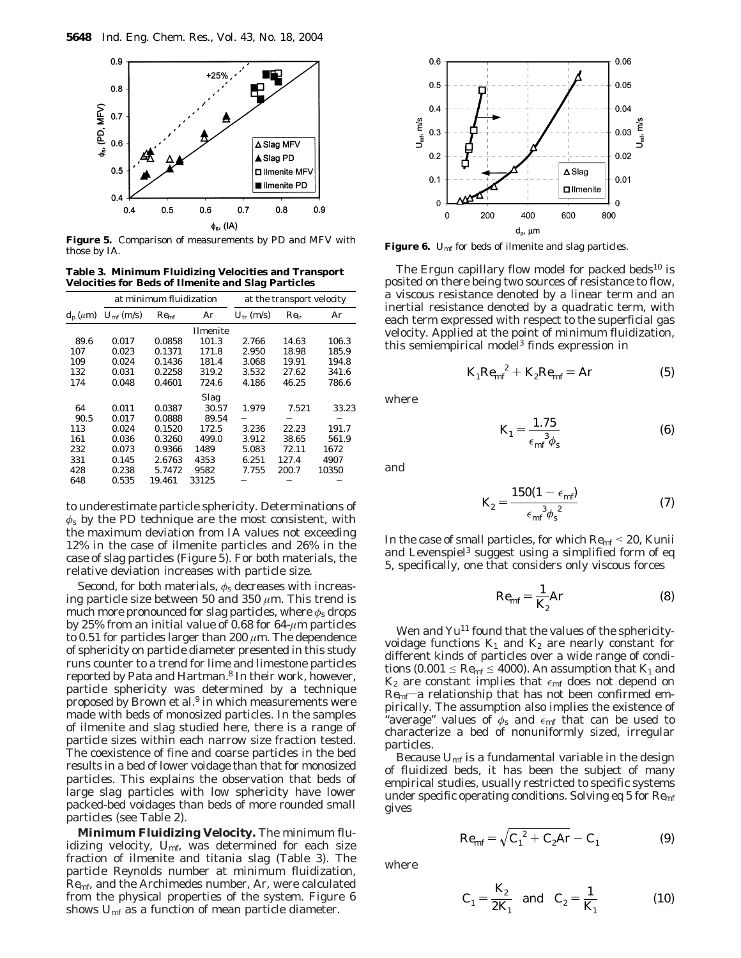

**Figure 5.** Comparison of measurements by PD and MFV with those by IA.

**Table 3. Minimum Fluidizing Velocities and Transport Velocities for Beds of Ilmenite and Slag Particles**

|                        | at minimum fluidization |               | at the transport velocity |                |               |       |
|------------------------|-------------------------|---------------|---------------------------|----------------|---------------|-------|
| $d_{\rm p}$ ( $\mu$ m) | $U_{\rm mf}$ (m/s)      | $Re_{\rm mf}$ | Ar                        | $U_{tr}$ (m/s) | $Re_{\rm tr}$ | Ar    |
|                        |                         |               | <b>Ilmenite</b>           |                |               |       |
| 89.6                   | 0.017                   | 0.0858        | 101.3                     | 2.766          | 14.63         | 106.3 |
| 107                    | 0.023                   | 0.1371        | 171.8                     | 2.950          | 18.98         | 185.9 |
| 109                    | 0.024                   | 0.1436        | 181.4                     | 3.068          | 19.91         | 194.8 |
| 132                    | 0.031                   | 0.2258        | 319.2                     | 3.532          | 27.62         | 341.6 |
| 174                    | 0.048                   | 0.4601        | 724.6                     | 4.186          | 46.25         | 786.6 |
|                        |                         |               | Slag                      |                |               |       |
| 64                     | 0.011                   | 0.0387        | 30.57                     | 1.979          | 7.521         | 33.23 |
| 90.5                   | 0.017                   | 0.0888        | 89.54                     |                |               |       |
| 113                    | 0.024                   | 0.1520        | 172.5                     | 3.236          | 22.23         | 191.7 |
| 161                    | 0.036                   | 0.3260        | 499.0                     | 3.912          | 38.65         | 561.9 |
| 232                    | 0.073                   | 0.9366        | 1489                      | 5.083          | 72.11         | 1672  |
| 331                    | 0.145                   | 2.6763        | 4353                      | 6.251          | 127.4         | 4907  |
| 428                    | 0.238                   | 5.7472        | 9582                      | 7.755          | 200.7         | 10350 |
| 648                    | 0.535                   | 19.461        | 33125                     |                |               |       |

to underestimate particle sphericity. Determinations of *φ*<sup>s</sup> by the PD technique are the most consistent, with the maximum deviation from IA values not exceeding 12% in the case of ilmenite particles and 26% in the case of slag particles (Figure 5). For both materials, the relative deviation increases with particle size.

Second, for both materials, *φ*<sup>s</sup> decreases with increasing particle size between 50 and 350 *µ*m. This trend is much more pronounced for slag particles, where *φ*<sup>s</sup> drops by 25% from an initial value of 0.68 for 64-*µ*m particles to 0.51 for particles larger than 200 *µ*m. The dependence of sphericity on particle diameter presented in this study runs counter to a trend for lime and limestone particles reported by Pata and Hartman.8 In their work, however, particle sphericity was determined by a technique proposed by Brown et al.<sup>9</sup> in which measurements were made with beds of monosized particles. In the samples of ilmenite and slag studied here, there is a range of particle sizes within each narrow size fraction tested. The coexistence of fine and coarse particles in the bed results in a bed of lower voidage than that for monosized particles. This explains the observation that beds of large slag particles with low sphericity have lower packed-bed voidages than beds of more rounded small particles (see Table 2).

**Minimum Fluidizing Velocity.** The minimum fluidizing velocity,  $U_{\text{mf}}$ , was determined for each size fraction of ilmenite and titania slag (Table 3). The particle Reynolds number at minimum fluidization, *Re*mf, and the Archimedes number, *Ar*, were calculated from the physical properties of the system. Figure 6 shows *U*mf as a function of mean particle diameter.



Figure 6. *U*<sub>mf</sub> for beds of ilmenite and slag particles.

The Ergun capillary flow model for packed beds $10$  is posited on there being two sources of resistance to flow, a viscous resistance denoted by a linear term and an inertial resistance denoted by a quadratic term, with each term expressed with respect to the superficial gas velocity. Applied at the point of minimum fluidization, this semiempirical model<sup>3</sup> finds expression in

$$
K_1 Re_{\rm mf}^2 + K_2 Re_{\rm mf} = Ar \tag{5}
$$

where

$$
K_1 = \frac{1.75}{\epsilon_{\rm mf}^3 \phi_{\rm s}}\tag{6}
$$

and

$$
K_2 = \frac{150(1 - \epsilon_{\rm mf})}{\epsilon_{\rm mf}^3 \phi_s^2} \tag{7}
$$

In the case of small particles, for which *Re*mf <sup>&</sup>lt; 20, Kunii and Levenspiel<sup>3</sup> suggest using a simplified form of eq 5, specifically, one that considers only viscous forces

$$
Re_{\rm mf} = \frac{1}{K_2} Ar \tag{8}
$$

Wen and Yu<sup>11</sup> found that the values of the sphericityvoidage functions  $K_1$  and  $K_2$  are nearly constant for different kinds of particles over a wide range of conditions (0.001  $\leq$  *Re*<sub>mf</sub>  $\leq$  4000). An assumption that *K*<sub>1</sub> and  $K_2$  are constant implies that  $\epsilon_{\rm mf}$  does not depend on  $Re_{\rm mf}$ —a relationship that has not been confirmed empirically. The assumption also implies the existence of "average" values of  $\phi_s$  and  $\epsilon_{\rm mf}$  that can be used to characterize a bed of nonuniformly sized, irregular particles.

Because  $U_{\text{mf}}$  is a fundamental variable in the design of fluidized beds, it has been the subject of many empirical studies, usually restricted to specific systems under specific operating conditions. Solving eq 5 for *Re*mf gives

$$
Re_{\rm mf} = \sqrt{C_1^2 + C_2 Ar} - C_1 \tag{9}
$$

where

$$
C_1 = \frac{K_2}{2K_1} \text{ and } C_2 = \frac{1}{K_1}
$$
 (10)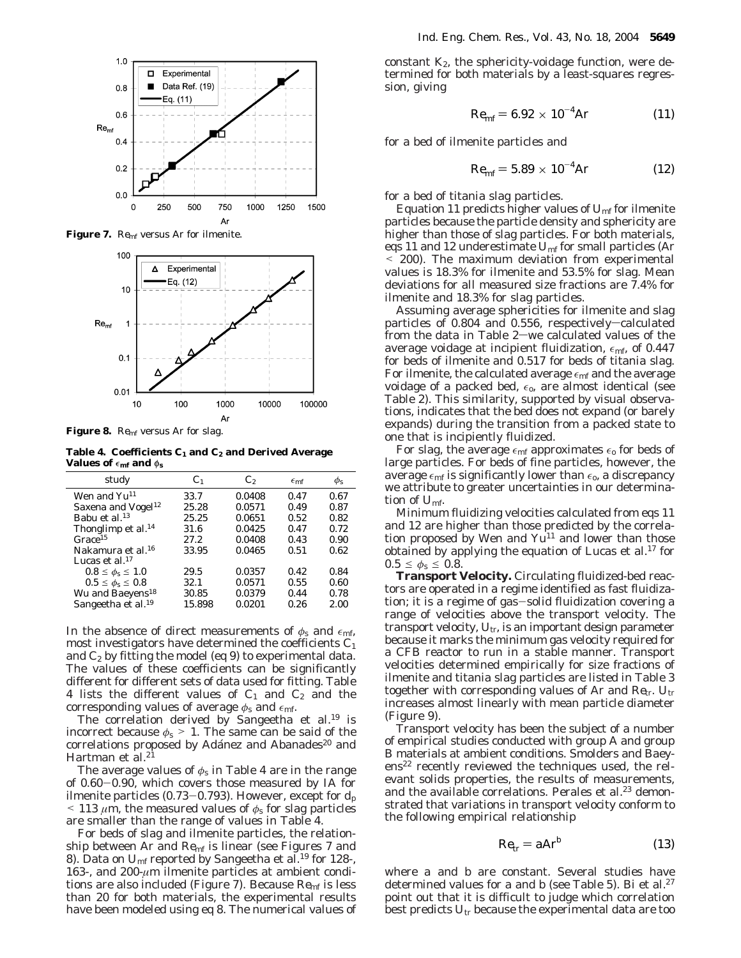

**Figure 7.** *Re*mf versus *Ar* for ilmenite.



**Figure 8.** *Re*mf versus *Ar* for slag.

**Table 4. Coefficients** *C***<sup>1</sup> and** *C***<sup>2</sup> and Derived Average Values of**  $\epsilon_{\bf m f}$  and  $\phi_{\bf s}$ 

| study                          | C1     | $\mathcal{C}_2$ | $\epsilon$ <sub>mf</sub> | $\phi_{\rm S}$ |
|--------------------------------|--------|-----------------|--------------------------|----------------|
| Wen and Yu <sup>11</sup>       | 33.7   | 0.0408          | 0.47                     | 0.67           |
| Saxena and Vogel <sup>12</sup> | 25.28  | 0.0571          | 0.49                     | 0.87           |
| Babu et al. <sup>13</sup>      | 25.25  | 0.0651          | 0.52                     | 0.82           |
| Thonglimp et al. <sup>14</sup> | 31.6   | 0.0425          | 0.47                     | 0.72           |
| Grace <sup>15</sup>            | 27.2   | 0.0408          | 0.43                     | 0.90           |
| Nakamura et al. <sup>16</sup>  | 33.95  | 0.0465          | 0.51                     | 0.62           |
| Lucas et al. <sup>17</sup>     |        |                 |                          |                |
| $0.8 \leq \phi_{s} \leq 1.0$   | 29.5   | 0.0357          | 0.42                     | 0.84           |
| $0.5 \le \phi_{s} \le 0.8$     | 32.1   | 0.0571          | 0.55                     | 0.60           |
| Wu and Baeyens <sup>18</sup>   | 30.85  | 0.0379          | 0.44                     | 0.78           |
| Sangeetha et al. <sup>19</sup> | 15.898 | 0.0201          | 0.26                     | 2.00           |

In the absence of direct measurements of  $\phi_s$  and  $\epsilon_{\rm mf}$ , most investigators have determined the coefficients *C*<sup>1</sup> and  $C_2$  by fitting the model (eq 9) to experimental data. The values of these coefficients can be significantly different for different sets of data used for fitting. Table 4 lists the different values of  $C_1$  and  $C_2$  and the corresponding values of average  $\phi_s$  and  $\epsilon_{\text{mf}}$ .

The correlation derived by Sangeetha et al.<sup>19</sup> is incorrect because  $\phi_s > 1$ . The same can be said of the correlations proposed by Adánez and Abanades<sup>20</sup> and Hartman et al.<sup>21</sup>

The average values of  $\phi_s$  in Table 4 are in the range of 0.60-0.90, which covers those measured by IA for ilmenite particles  $(0.73-0.793)$ . However, except for  $d_p$  $\leq$  113  $\mu$ m, the measured values of  $\phi$ <sub>s</sub> for slag particles are smaller than the range of values in Table 4.

For beds of slag and ilmenite particles, the relationship between *Ar* and *Re*<sub>mf</sub> is linear (see Figures 7 and 8). Data on  $U_{\text{mf}}$  reported by Sangeetha et al.<sup>19</sup> for 128-, 163-, and 200-*µ*m ilmenite particles at ambient conditions are also included (Figure 7). Because *Re*mf is less than 20 for both materials, the experimental results have been modeled using eq 8. The numerical values of

constant  $K_2$ , the sphericity-voidage function, were determined for both materials by a least-squares regression, giving

$$
Re_{\rm mf} = 6.92 \times 10^{-4} Ar \tag{11}
$$

for a bed of ilmenite particles and

$$
Re_{\rm mf} = 5.89 \times 10^{-4} Ar \tag{12}
$$

for a bed of titania slag particles.

Equation 11 predicts higher values of  $U_{\text{mf}}$  for ilmenite particles because the particle density and sphericity are higher than those of slag particles. For both materials, eqs 11 and 12 underestimate *U*mf for small particles (*Ar* < 200). The maximum deviation from experimental values is 18.3% for ilmenite and 53.5% for slag. Mean deviations for all measured size fractions are 7.4% for ilmenite and 18.3% for slag particles.

Assuming average sphericities for ilmenite and slag particles of  $0.804$  and  $0.556$ , respectively-calculated from the data in Table  $2$ —we calculated values of the average voidage at incipient fluidization,  $\epsilon_{\rm mf}$ , of 0.447 for beds of ilmenite and 0.517 for beds of titania slag. For ilmenite, the calculated average  $\epsilon_{\rm mf}$  and the average voidage of a packed bed,  $\epsilon_0$ , are almost identical (see Table 2). This similarity, supported by visual observations, indicates that the bed does not expand (or barely expands) during the transition from a packed state to one that is incipiently fluidized.

For slag, the average  $\epsilon_{\rm mf}$  approximates  $\epsilon_{\rm o}$  for beds of large particles. For beds of fine particles, however, the average  $\epsilon_{\rm mf}$  is significantly lower than  $\epsilon_{\rm o}$ , a discrepancy we attribute to greater uncertainties in our determination of *U*mf.

Minimum fluidizing velocities calculated from eqs 11 and 12 are higher than those predicted by the correlation proposed by Wen and  $Yu^{11}$  and lower than those obtained by applying the equation of Lucas et al.<sup>17</sup> for  $0.5 \leq \phi_s \leq 0.8.$ 

**Transport Velocity.** Circulating fluidized-bed reactors are operated in a regime identified as fast fluidization; it is a regime of gas-solid fluidization covering a range of velocities above the transport velocity. The transport velocity,  $U_{tr}$ , is an important design parameter because it marks the minimum gas velocity required for a CFB reactor to run in a stable manner. Transport velocities determined empirically for size fractions of ilmenite and titania slag particles are listed in Table 3 together with corresponding values of *Ar* and *Re*tr. *U*tr increases almost linearly with mean particle diameter (Figure 9).

Transport velocity has been the subject of a number of empirical studies conducted with group A and group B materials at ambient conditions. Smolders and Baeyens<sup>22</sup> recently reviewed the techniques used, the relevant solids properties, the results of measurements, and the available correlations. Perales et al.<sup>23</sup> demonstrated that variations in transport velocity conform to the following empirical relationship

$$
Re_{\rm tr} = aAr^b \tag{13}
$$

where *a* and *b* are constant. Several studies have determined values for *a* and *b* (see Table 5). Bi et al.<sup>27</sup> point out that it is difficult to judge which correlation best predicts *U*tr because the experimental data are too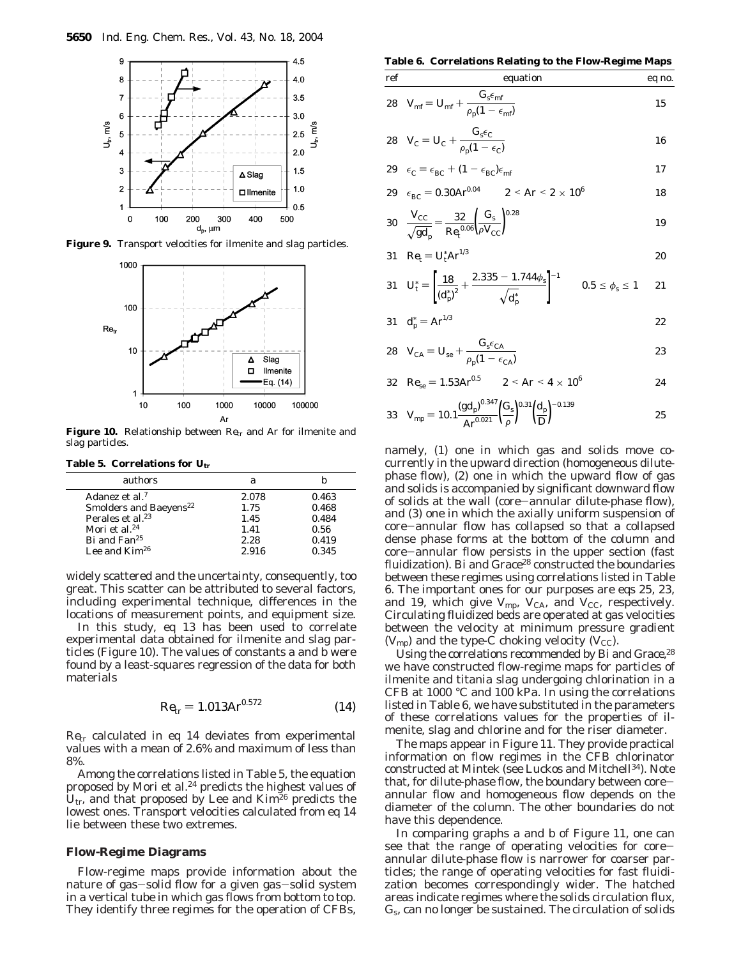

**Figure 9.** Transport velocities for ilmenite and slag particles.



**Figure 10.** Relationship between *Re*tr and *Ar* for ilmenite and slag particles.

**Table 5. Correlations for**  $U_{\text{tr}}$ 

| authors                            | я     |       |
|------------------------------------|-------|-------|
| Adanez et al. <sup>7</sup>         | 2.078 | 0.463 |
| Smolders and Baeyens <sup>22</sup> | 1.75  | 0.468 |
| Perales et al. <sup>23</sup>       | 1.45  | 0.484 |
| Mori et al. <sup>24</sup>          | 1.41  | 0.56  |
| Bi and Fan <sup>25</sup>           | 2.28  | 0.419 |
| Lee and $Kim26$                    | 2.916 | 0.345 |

widely scattered and the uncertainty, consequently, too great. This scatter can be attributed to several factors, including experimental technique, differences in the locations of measurement points, and equipment size.

In this study, eq 13 has been used to correlate experimental data obtained for ilmenite and slag particles (Figure 10). The values of constants *a* and *b* were found by a least-squares regression of the data for both materials

$$
Re_{\rm tr} = 1.013 Ar^{0.572} \tag{14}
$$

*Re*tr calculated in eq 14 deviates from experimental values with a mean of 2.6% and maximum of less than 8%.

Among the correlations listed in Table 5, the equation proposed by Mori et al.<sup>24</sup> predicts the highest values of  $U_{tr}$ , and that proposed by Lee and Kim<sup>26</sup> predicts the lowest ones. Transport velocities calculated from eq 14 lie between these two extremes.

#### **Flow-Regime Diagrams**

Flow-regime maps provide information about the nature of gas-solid flow for a given gas-solid system in a vertical tube in which gas flows from bottom to top. They identify three regimes for the operation of CFBs,

**Table 6. Correlations Relating to the Flow-Regime Maps**

ref  
\nequation  
\neq no.  
\n
$$
\frac{c_{\rm s} \epsilon_{\rm mft}}{28 \ V_{\rm mf} = U_{\rm mf} + \frac{G_{\rm s} \epsilon_{\rm mf}}{\rho_{\rm p} (1 - \epsilon_{\rm mf})}
$$
\n
$$
\frac{15}{25}
$$

$$
28 \quad V_{\rm C} = U_{\rm C} + \frac{G_{\rm s}\epsilon_{\rm C}}{\rho_{\rm p}(1 - \epsilon_{\rm C})}
$$

$$
29 \quad \epsilon_{\rm C} = \epsilon_{\rm BC} + (1 - \epsilon_{\rm BC})\epsilon_{\rm mf} \tag{17}
$$

29 
$$
\epsilon_{BC} = 0.30 A r^{0.04}
$$
 2  $\leq Ar \leq 2 \times 10^6$  18

30 
$$
\frac{V_{\text{CC}}}{\sqrt{gd_{\text{p}}}} = \frac{32}{Re_{\text{t}}^{0.06}} \left(\frac{G_{\text{s}}}{\rho V_{\text{CC}}}\right)^{0.28}
$$
19

$$
31 \t Re_{t} = U_{t}^{*} Ar^{1/3}
$$

$$
31 \t U_{t}^{*} = \left[\frac{18}{\left(d_{p}^{*}\right)^{2}} + \frac{2.335 - 1.744\phi_{s}}{\sqrt{d_{p}^{*}}}\right]^{-1} \t 0.5 \le \phi_{s} \le 1 \t 21
$$

$$
31 \t d_{\rm p}^* = A r^{1/3} \t 22
$$

$$
28 \tV_{\text{CA}} = U_{\text{se}} + \frac{G_{\text{s}}\epsilon_{\text{CA}}}{\rho_{\text{p}}(1 - \epsilon_{\text{CA}})}
$$

32 
$$
Re_{se} = 1.53 Ar^{0.5}
$$
 2  $Ar < 4 \times 10^6$  24

33 
$$
V_{\text{mp}} = 10.1 \frac{(gd_p)^{0.347}}{Ar^{0.021}} \left(\frac{G_s}{\rho}\right)^{0.31} \left(\frac{d_p}{D}\right)^{-0.139}
$$
 25

namely, (1) one in which gas and solids move cocurrently in the upward direction (homogeneous dilutephase flow), (2) one in which the upward flow of gas and solids is accompanied by significant downward flow of solids at the wall (core-annular dilute-phase flow), and (3) one in which the axially uniform suspension of core-annular flow has collapsed so that a collapsed dense phase forms at the bottom of the column and core-annular flow persists in the upper section (fast fluidization). Bi and Grace<sup>28</sup> constructed the boundaries between these regimes using correlations listed in Table 6. The important ones for our purposes are eqs 25, 23, and 19, which give  $V_{\text{mp}}$ ,  $V_{\text{CA}}$ , and  $V_{\text{CC}}$ , respectively. Circulating fluidized beds are operated at gas velocities between the velocity at minimum pressure gradient  $(V_{\text{mp}})$  and the type-C choking velocity  $(V_{\text{CC}})$ .

Using the correlations recommended by Bi and Grace,<sup>28</sup> we have constructed flow-regime maps for particles of ilmenite and titania slag undergoing chlorination in a CFB at 1000 °C and 100 kPa. In using the correlations listed in Table 6, we have substituted in the parameters of these correlations values for the properties of ilmenite, slag and chlorine and for the riser diameter.

The maps appear in Figure 11. They provide practical information on flow regimes in the CFB chlorinator constructed at Mintek (see Luckos and Mitchell34). Note that, for dilute-phase flow, the boundary between coreannular flow and homogeneous flow depends on the diameter of the column. The other boundaries do not have this dependence.

In comparing graphs a and b of Figure 11, one can see that the range of operating velocities for coreannular dilute-phase flow is narrower for coarser particles; the range of operating velocities for fast fluidization becomes correspondingly wider. The hatched areas indicate regimes where the solids circulation flux, *G*s, can no longer be sustained. The circulation of solids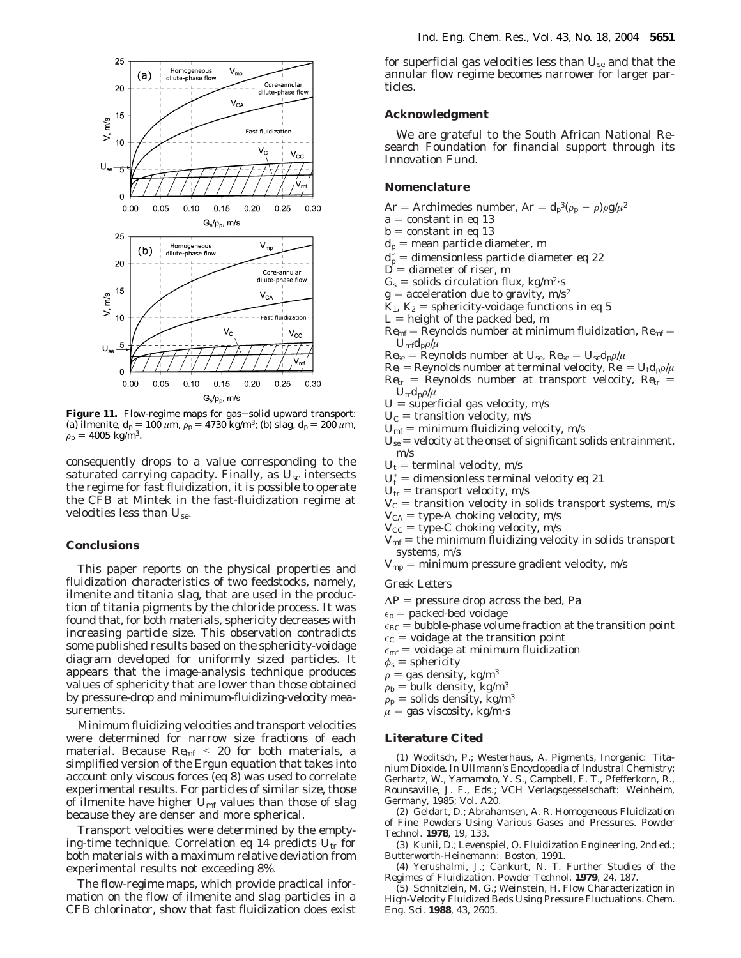

**Figure 11.** Flow-regime maps for gas-solid upward transport: (a) ilmenite,  $d_p = 100 \mu m$ ,  $\rho_p = 4730 \text{ kg/m}^3$ ; (b) slag,  $d_p = 200 \mu m$ ,  $\rho_p = 4005 \text{ kg/m}^3$ .

consequently drops to a value corresponding to the saturated carrying capacity. Finally, as *U*se intersects the regime for fast fluidization, it is possible to operate the CFB at Mintek in the fast-fluidization regime at velocities less than *U*se.

## **Conclusions**

This paper reports on the physical properties and fluidization characteristics of two feedstocks, namely, ilmenite and titania slag, that are used in the production of titania pigments by the chloride process. It was found that, for both materials, sphericity decreases with increasing particle size. This observation contradicts some published results based on the sphericity-voidage diagram developed for uniformly sized particles. It appears that the image-analysis technique produces values of sphericity that are lower than those obtained by pressure-drop and minimum-fluidizing-velocity measurements.

Minimum fluidizing velocities and transport velocities were determined for narrow size fractions of each material. Because *Re*mf <sup>&</sup>lt; 20 for both materials, a simplified version of the Ergun equation that takes into account only viscous forces (eq 8) was used to correlate experimental results. For particles of similar size, those of ilmenite have higher  $U_{\text{mf}}$  values than those of slag because they are denser and more spherical.

Transport velocities were determined by the emptying-time technique. Correlation eq 14 predicts *U*tr for both materials with a maximum relative deviation from experimental results not exceeding 8%.

The flow-regime maps, which provide practical information on the flow of ilmenite and slag particles in a CFB chlorinator, show that fast fluidization does exist

for superficial gas velocities less than *U*se and that the annular flow regime becomes narrower for larger particles.

## **Acknowledgment**

We are grateful to the South African National Research Foundation for financial support through its Innovation Fund.

## **Nomenclature**

- $Ar =$  Archimedes number,  $Ar = d_p^3(\rho_p \rho)\rho g/\mu^2$ <br>  $a =$  constant in eq. 13
- $a$  = constant in eq 13
- $b =$  constant in eq 13
- $d_p$  = mean particle diameter, m
- $d_{D}^*$  = dimensionless particle diameter eq 22<br>  $D =$  diameter of riser m
- $D =$  diameter of riser, m
- $G_s$  = solids circulation flux, kg/m<sup>2</sup>·s
- $g$  = acceleration due to gravity, m/s<sup>2</sup>
- $K_1$ ,  $K_2$  = sphericity-voidage functions in eq 5
- $L =$  height of the packed bed, m
- $Re_{\rm mf}$  = Reynolds number at minimum fluidization,  $Re_{\rm mf}$  =  $U_{\rm mf}d_{\rm p}\rho/\mu$
- $Re_{se}$  = Reynolds number at  $U_{se}$ ,  $Re_{se} = U_{se}d_{p}\rho/\mu$
- $Re_t$  = Reynolds number at terminal velocity,  $Re_t = U_t d_p \rho / \mu$  $Re<sub>tr</sub>$  = Reynolds number at transport velocity,  $Re<sub>tr</sub>$  =  $U_{\text{tr}}d_{\text{p}}\rho/\mu$
- $U$  = superficial gas velocity, m/s
- $U_{\rm C}$  = transition velocity, m/s
- 
- $U_{\rm mf}$  = minimum fluidizing velocity, m/s
- $U_{\text{se}}$  = velocity at the onset of significant solids entrainment, m/s
- $U_t$  = terminal velocity, m/s
- $U_t^*$  = dimensionless terminal velocity eq 21<br> $U_t =$  transport velocity m/s
- $U_{tr}$  = transport velocity, m/s
- $V<sub>C</sub>$  = transition velocity in solids transport systems, m/s
- $V_{\text{CA}}$  = type-A choking velocity, m/s
- $V_{\text{CC}}$  = type-C choking velocity, m/s
- $V_{\text{mf}}$  = the minimum fluidizing velocity in solids transport systems, m/s
- $V_{\text{mp}}$  = minimum pressure gradient velocity, m/s

#### *Greek Letters*

- $\Delta P$  = pressure drop across the bed, Pa
- $\epsilon_{o}$  = packed-bed voidage
- $\epsilon_{BC}$  = bubble-phase volume fraction at the transition point
- $\epsilon_C$  = voidage at the transition point
- $\epsilon_{\rm mf}$  = voidage at minimum fluidization
- $\phi$ <sub>s</sub> = sphericity
- $\rho$  = gas density, kg/m<sup>3</sup>
- $\rho_{\rm b} =$  bulk density, kg/m<sup>3</sup>
- $\rho_p$  = solids density, kg/m<sup>3</sup>
- $\mu$  = gas viscosity, kg/m·s

# **Literature Cited**

(1) Woditsch, P.; Westerhaus, A. Pigments, Inorganic: Titanium Dioxide. In *Ullmann's Encyclopedia of Industral Chemistry*; Gerhartz, W., Yamamoto, Y. S., Campbell, F. T., Pfefferkorn, R., Rounsaville, J. F., Eds.; VCH Verlagsgesselschaft: Weinheim, Germany, 1985; Vol. A20.

(2) Geldart, D.; Abrahamsen, A. R. Homogeneous Fluidization of Fine Powders Using Various Gases and Pressures. *Powder Technol.* **1978**, *19*, 133.

(3) Kunii, D.; Levenspiel, O. *Fluidization Engineering*, 2nd ed.; Butterworth-Heinemann: Boston, 1991.

(4) Yerushalmi, J.; Cankurt, N. T. Further Studies of the Regimes of Fluidization*. Powder Technol.* **1979**, *24*, 187.

(5) Schnitzlein, M. G.; Weinstein, H. Flow Characterization in High-Velocity Fluidized Beds Using Pressure Fluctuations. *Chem. Eng. Sci.* **1988**, *43*, 2605.